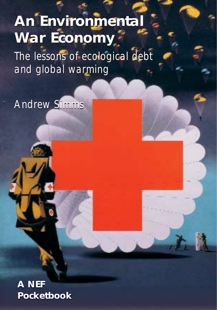# **An Environmental An Environmental War Economy ar Economy**

The lessons of ecological debt The lessons of ecological debt and global warming and global warming

Andrew Simms

**A NEF Pocketbook**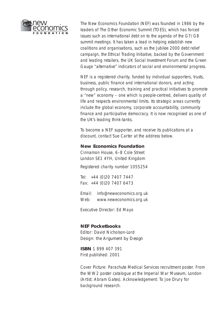

The New Economics Foundation (NEF) was founded in 1986 by the leaders of The Other Economic Summit (TOES), which has forced issues such as international debt on to the agenda of the G7/G8 summit meetings. It has taken a lead in helping establish new coalitions and organisations, such as the Jubilee 2000 debt relief campaign, the Ethical Trading Initiative, backed by the Government and leading retailers, the UK Social Investment Forum and the Green Gauge "alternative" indicators of social and environmental progress.

NEF is a registered charity, funded by individual supporters, trusts, business, public finance and international donors, and acting through policy, research, training and practical initiatives to promote a "new" economy – one which is people-centred, delivers quality of life and respects environmental limits. Its strategic areas currently include the global economy, corporate accountability, community finance and participative democracy. It is now recognised as one of the UK's leading think-tanks.

To become a NEF supporter, and receive its publications at a discount, contact Sue Carter at the address below.

#### **New Economics Foundation**

Cinnamon House, 6–8 Cole Street London SE1 4YH, United Kingdom

Registered charity number 1055254

*Tel:* +44 (0)20 7407 7447 *Fax:* +44 (0)20 7407 6473

*Email:* info@neweconomics.org.uk *Web:* www.neweconomics.org.uk

*Executive Director:* Ed Mayo

#### **NEF Pocketbooks**

*Editor:* David Nicholson-Lord *Design: the Argument by Design* 

**ISBN** 1 899 407 391 First published: 2001

*Cover Picture:* Parachute Medical Services recruitment poster. From the WW2 poster catalogue at the Imperial War Museum, London (Artist: Abram Gates). *Acknowledgement:* To Joe Drury for background research.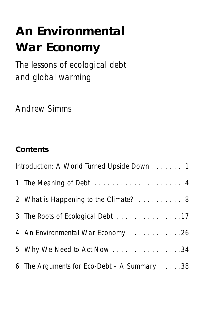# **An Environmental War Economy**

The lessons of ecological debt and global warming

Andrew Simms

### **Contents**

| Introduction: A World Turned Upside Down 1 |                                                       |
|--------------------------------------------|-------------------------------------------------------|
|                                            |                                                       |
|                                            | 2 What is Happening to the Climate? 8                 |
|                                            | 3 The Roots of Ecological Debt 17                     |
|                                            | 4 An Environmental War Economy 26                     |
|                                            | 5 Why We Need to Act Now 34                           |
|                                            | 6 The Arguments for Eco-Debt - A Summary $\ldots$ .38 |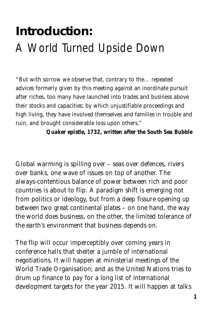## **Introduction:**  A World Turned Upside Down

*"But with sorrow we observe that, contrary to the… repeated advices formerly given by this meeting against an inordinate pursuit after riches, too many have launched into trades and business above their stocks and capacities; by which unjustifiable proceedings and high living, they have involved themselves and families in trouble and ruin, and brought considerable loss upon others."*

*Quaker epistle, 1732, written after the South Sea Bubble*

Global warming is spilling over – seas over defences, rivers over banks, one wave of issues on top of another. The always-contentious balance of power between rich and poor countries is about to flip. A paradigm shift is emerging not from politics or ideology, but from a deep fissure opening up between two great continental plates – on one hand, the way the world does business, on the other, the limited tolerance of the earth's environment that business depends on.

The flip will occur imperceptibly over coming years in conference halls that shelter a jumble of international negotiations. It will happen at ministerial meetings of the World Trade Organisation; and as the United Nations tries to drum up finance to pay for a long list of international development targets for the year 2015. It will happen at talks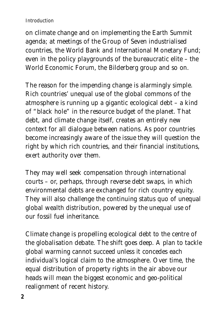### *Introduction*

on climate change and on implementing the Earth Summit agenda; at meetings of the Group of Seven industrialised countries, the World Bank and International Monetary Fund; even in the policy playgrounds of the bureaucratic elite – the World Economic Forum, the Bilderberg group and so on.

The reason for the impending change is alarmingly simple. Rich countries' unequal use of the global commons of the atmosphere is running up a gigantic ecological debt – a kind of "black hole" in the resource budget of the planet. That debt, and climate change itself, creates an entirely new context for all dialogue between nations. As poor countries become increasingly aware of the issue they will question the right by which rich countries, and their financial institutions, exert authority over them.

They may well seek compensation through international courts – or, perhaps, through reverse debt swaps, in which environmental debts are exchanged for rich country equity. They will also challenge the continuing status quo of unequal global wealth distribution, powered by the unequal use of our fossil fuel inheritance.

Climate change is propelling ecological debt to the centre of the globalisation debate. The shift goes deep. A plan to tackle global warming cannot succeed unless it concedes each individual's logical claim to the atmosphere. Over time, the equal distribution of property rights in the air above our heads will mean the biggest economic and geo-political realignment of recent history.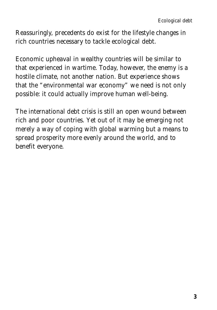Reassuringly, precedents do exist for the lifestyle changes in rich countries necessary to tackle ecological debt.

Economic upheaval in wealthy countries will be similar to that experienced in wartime. Today, however, the enemy is a hostile climate, not another nation. But experience shows that the "environmental war economy" we need is not only possible: it could actually improve human well-being.

The international debt crisis is still an open wound between rich and poor countries. Yet out of it may be emerging not merely a way of coping with global warming but a means to spread prosperity more evenly around the world, and to benefit everyone.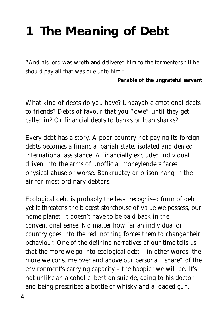## **1 The Meaning of Debt**

*"And his lord was wroth and delivered him to the tormentors till he should pay all that was due unto him."* 

*Parable of the ungrateful servant*

What kind of debts do you have? Unpayable emotional debts to friends? Debts of favour that you "owe" until they get called in? Or financial debts to banks or loan sharks?

Every debt has a story. A poor country not paying its foreign debts becomes a financial pariah state, isolated and denied international assistance. A financially excluded individual driven into the arms of unofficial moneylenders faces physical abuse or worse. Bankruptcy or prison hang in the air for most ordinary debtors.

Ecological debt is probably the least recognised form of debt yet it threatens the biggest storehouse of value we possess, our home planet. It doesn't have to be paid back in the conventional sense. No matter how far an individual or country goes into the red, nothing forces them to change their behaviour. One of the defining narratives of our time tells us that the more we go into ecological debt – in other words, the more we consume over and above our personal "share" of the environment's carrying capacity – the happier we will be. It's not unlike an alcoholic, bent on suicide, going to his doctor and being prescribed a bottle of whisky and a loaded gun.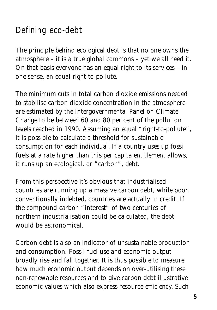## Defining eco-debt

The principle behind ecological debt is that no one owns the atmosphere – it is a true global commons – yet we all need it. On that basis everyone has an equal right to its services – in one sense, an equal right to pollute.

The minimum cuts in total carbon dioxide emissions needed to stabilise carbon dioxide concentration in the atmosphere are estimated by the Intergovernmental Panel on Climate Change to be between 60 and 80 per cent of the pollution levels reached in 1990. Assuming an equal "right-to-pollute", it is possible to calculate a threshold for sustainable consumption for each individual. If a country uses up fossil fuels at a rate higher than this *per capita* entitlement allows, it runs up an ecological, or "carbon", debt.

From this perspective it's obvious that industrialised countries are running up a massive carbon debt, while poor, conventionally indebted, countries are actually in credit. If the compound carbon "interest" of two centuries of northern industrialisation could be calculated, the debt would be astronomical.

Carbon debt is also an indicator of unsustainable production and consumption. Fossil-fuel use and economic output broadly rise and fall together. It is thus possible to measure how much economic output depends on over-utilising these non-renewable resources and to give carbon debt illustrative economic values which also express resource efficiency. Such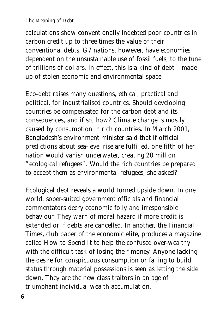#### *The Meaning of Debt*

calculations show conventionally indebted poor countries in carbon *credit* up to three times the value of their conventional debts. G7 nations, however, have economies dependent on the unsustainable use of fossil fuels, to the tune of trillions of dollars. In effect, this is a kind of debt – made up of stolen economic and environmental space.

Eco-debt raises many questions, ethical, practical and political, for industrialised countries. Should developing countries be compensated for the carbon debt and its consequences, and if so, how? Climate change is mostly caused by consumption in rich countries. In March 2001, Bangladesh's environment minister said that if official predictions about sea-level rise are fulfilled, one fifth of her nation would vanish underwater, creating 20 million "ecological refugees". Would the rich countries be prepared to accept them as environmental refugees, she asked?

Ecological debt reveals a world turned upside down. In one world, sober-suited government officials and financial commentators decry economic folly and irresponsible behaviour. They warn of moral hazard if more credit is extended or if debts are cancelled. In another, the *Financial Times*, club paper of the economic elite, produces a magazine called *How to Spend It* to help the confused over-wealthy with the difficult task of losing their money. Anyone lacking the desire for conspicuous consumption or failing to build status through material possessions is seen as letting the side down. They are the new class traitors in an age of triumphant individual wealth accumulation.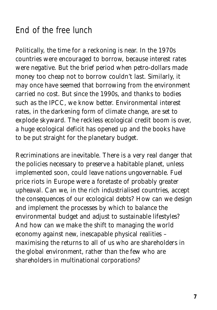### End of the free lunch

Politically, the time for a reckoning is near. In the 1970s countries were encouraged to borrow, because interest rates were negative. But the brief period when petro-dollars made money too cheap not to borrow couldn't last. Similarly, it may once have seemed that borrowing from the environment carried no cost. But since the 1990s, and thanks to bodies such as the IPCC, we know better. Environmental interest rates, in the darkening form of climate change, are set to explode skyward. The reckless ecological credit boom is over, a huge ecological deficit has opened up and the books have to be put straight for the planetary budget.

Recriminations are inevitable. There is a very real danger that the policies necessary to preserve a habitable planet, unless implemented soon, could leave nations ungovernable. Fuel price riots in Europe were a foretaste of probably greater upheaval. Can we, in the rich industrialised countries, accept the consequences of our ecological debts? How can we design and implement the processes by which to balance the environmental budget and adjust to sustainable lifestyles? And how can we make the shift to managing the world economy against new, inescapable physical realities – maximising the returns to all of us who are shareholders in the global environment, rather than the few who are shareholders in multinational corporations?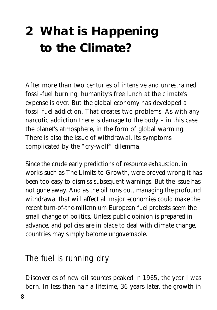## **2 What is Happening to the Climate?**

After more than two centuries of intensive and unrestrained fossil-fuel burning, humanity's free lunch at the climate's expense is over. But the global economy has developed a fossil fuel addiction. That creates two problems. As with any narcotic addiction there is damage to the body – in this case the planet's atmosphere, in the form of global warming. There is also the issue of withdrawal, its symptoms complicated by the "cry-wolf" dilemma.

Since the crude early predictions of resource exhaustion, in works such as *The Limits to Growth*, were proved wrong it has been too easy to dismiss subsequent warnings. But the issue has not gone away. And as the oil runs out, managing the profound withdrawal that will affect all major economies could make the recent turn-of-the-millennium European fuel protests seem the small change of politics. Unless public opinion is prepared in advance, and policies are in place to deal with climate change, countries may simply become ungovernable.

### The fuel is running dry

Discoveries of new oil sources peaked in 1965, the year I was born. In less than half a lifetime, 36 years later, the growth in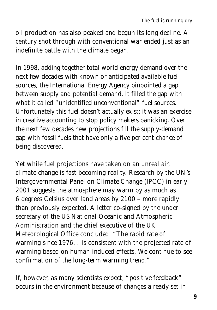oil production has also peaked and begun its long decline. A century shot through with conventional war ended just as an indefinite battle with the climate began.

In 1998, adding together total world energy demand over the next few decades with known or anticipated available fuel sources, the International Energy Agency pinpointed a gap between supply and potential demand. It filled the gap with what it called "unidentified unconventional" fuel sources. Unfortunately this fuel doesn't actually exist: it was an exercise in creative accounting to stop policy makers panicking. Over the next few decades new projections fill the supply-demand gap with fossil fuels that have only a five per cent chance of being discovered.

Yet while fuel projections have taken on an unreal air, climate change is fast becoming reality. Research by the UN's Intergovernmental Panel on Climate Change (IPCC) in early 2001 suggests the atmosphere may warm by as much as 6 degrees Celsius over land areas by 2100 – more rapidly than previously expected. A letter co-signed by the under secretary of the US National Oceanic and Atmospheric Administration and the chief executive of the UK Meteorological Office concluded: "The rapid rate of warming since 1976… is consistent with the projected rate of warming based on human-induced effects. We continue to see confirmation of the long-term warming trend."

If, however, as many scientists expect, "positive feedback" occurs in the environment because of changes already set in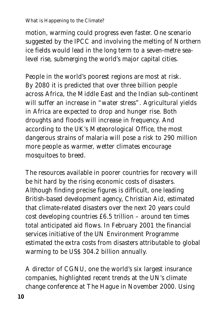### *What is Happening to the Climate?*

motion, warming could progress even faster. One scenario suggested by the IPCC and involving the melting of Northern ice fields would lead in the long term to a seven-metre sealevel rise, submerging the world's major capital cities.

People in the world's poorest regions are most at risk. By 2080 it is predicted that over three billion people across Africa, the Middle East and the Indian sub-continent will suffer an increase in "water stress". Agricultural yields in Africa are expected to drop and hunger rise. Both droughts and floods will increase in frequency. And according to the UK's Meteorological Office, the most dangerous strains of malaria will pose a risk to 290 million more people as warmer, wetter climates encourage mosquitoes to breed.

The resources available in poorer countries for recovery will be hit hard by the rising economic costs of disasters. Although finding precise figures is difficult, one leading British-based development agency, Christian Aid, estimated that climate-related disasters over the next 20 years could cost developing countries £6.5 trillion – around ten times total anticipated aid flows. In February 2001 the financial services initiative of the UN Environment Programme estimated the extra costs from disasters attributable to global warming to be US\$ 304.2 billion annually.

A director of CGNU, one the world's six largest insurance companies, highlighted recent trends at the UN's climate change conference at The Hague in November 2000. Using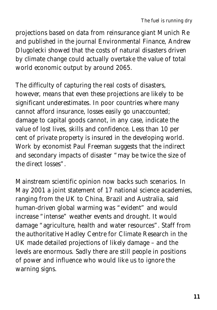projections based on data from reinsurance giant Munich Re and published in the journal *Environmental Finance*, Andrew Dlugolecki showed that the costs of natural disasters driven by climate change could actually overtake the value of total world economic output by around 2065.

The difficulty of capturing the real costs of disasters, however, means that even these projections are likely to be significant underestimates. In poor countries where many cannot afford insurance, losses easily go unaccounted; damage to capital goods cannot, in any case, indicate the value of lost lives, skills and confidence. Less than 10 per cent of private property is insured in the developing world. Work by economist Paul Freeman suggests that the indirect and secondary impacts of disaster "may be twice the size of the direct losses".

Mainstream scientific opinion now backs such scenarios. In May 2001 a joint statement of 17 national science academies, ranging from the UK to China, Brazil and Australia, said human-driven global warming was "evident" and would increase "intense" weather events and drought. It would damage "agriculture, health and water resources". Staff from the authoritative Hadley Centre for Climate Research in the UK made detailed projections of likely damage – and the levels are enormous. Sadly there are still people in positions of power and influence who would like us to ignore the warning signs.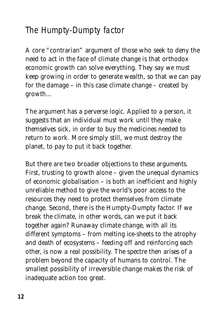## The Humpty-Dumpty factor

A core "contrarian" argument of those who seek to deny the need to act in the face of climate change is that orthodox economic growth can solve everything. They say we must keep growing in order to generate wealth, so that we can pay for the damage – in this case climate change – created by growth…

The argument has a perverse logic. Applied to a person, it suggests that an individual must work until they make themselves sick, in order to buy the medicines needed to return to work. More simply still, we must destroy the planet, to pay to put it back together.

But there are two broader objections to these arguments. First, trusting to growth alone – given the unequal dynamics of economic globalisation – is both an inefficient and highly unreliable method to give the world's poor access to the resources they need to protect themselves from climate change. Second, there is the Humpty-Dumpty factor. If we break the climate, in other words, can we put it back together again? Runaway climate change, with all its different symptoms – from melting ice-sheets to the atrophy and death of ecosystems – feeding off and reinforcing each other, is now a real possibility. The spectre then arises of a problem beyond the capacity of humans to control. The smallest possibility of irreversible change makes the risk of inadequate action too great.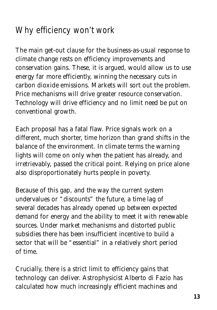## Why efficiency won't work

The main get-out clause for the business-as-usual response to climate change rests on efficiency improvements and conservation gains. These, it is argued, would allow us to use energy far more efficiently, winning the necessary cuts in carbon dioxide emissions. Markets will sort out the problem. Price mechanisms will drive greater resource conservation. Technology will drive efficiency and no limit need be put on conventional growth.

Each proposal has a fatal flaw. Price signals work on a different, much shorter, time horizon than grand shifts in the balance of the environment. In climate terms the warning lights will come on only when the patient has already, and irretrievably, passed the critical point. Relying on price alone also disproportionately hurts people in poverty.

Because of this gap, and the way the current system undervalues or "discounts" the future, a time lag of several decades has already opened up between expected demand for energy and the ability to meet it with renewable sources. Under market mechanisms and distorted public subsidies there has been insufficient incentive to build a sector that will be "essential" in a relatively short period of time.

Crucially, there is a strict limit to efficiency gains that technology can deliver. Astrophysicist Alberto di Fazio has calculated how much increasingly efficient machines and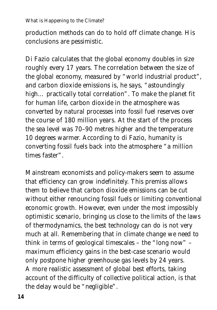### *What is Happening to the Climate?*

production methods can do to hold off climate change. His conclusions are pessimistic.

Di Fazio calculates that the global economy doubles in size roughly every 17 years. The correlation between the size of the global economy, measured by "world industrial product", and carbon dioxide emissions is, he says, "astoundingly high… practically total correlation". To make the planet fit for human life, carbon dioxide in the atmosphere was converted by natural processes into fossil fuel reserves over the course of 180 million years. At the start of the process the sea level was 70–90 metres higher and the temperature 10 degrees warmer. According to di Fazio, humanity is converting fossil fuels back into the atmosphere "a million times faster".

Mainstream economists and policy-makers seem to assume that efficiency can grow indefinitely. This premiss allows them to believe that carbon dioxide emissions can be cut without either renouncing fossil fuels or limiting conventional economic growth. However, even under the most impossibly optimistic scenario, bringing us close to the limits of the laws of thermodynamics, the best technology can do is not very much at all. Remembering that in climate change we need to think in terms of geological timescales – the "long now" – maximum efficiency gains in the best-case scenario would only postpone higher greenhouse gas levels by 24 years. A more realistic assessment of global best efforts, taking account of the difficulty of collective political action, is that the delay would be "negligible".

*14*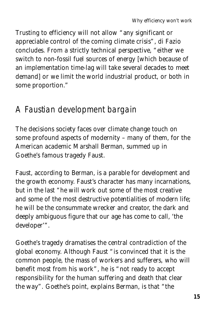Trusting to efficiency will not allow "any significant or appreciable control of the coming climate crisis", di Fazio concludes. From a strictly technical perspective, "either we switch to non-fossil fuel sources of energy [which because of an implementation time-lag will take several decades to meet demand] or we limit the world industrial product, or both in some proportion."

### A Faustian development bargain

The decisions society faces over climate change touch on some profound aspects of modernity – many of them, for the American academic Marshall Berman, summed up in Goethe's famous tragedy *Faust*.

*Faust*, according to Berman, is a parable for development and the growth economy. Faust's character has many incarnations, but in the last "he will work out some of the most creative and some of the most destructive potentialities of modern life; he will be the consummate wrecker and creator, the dark and deeply ambiguous figure that our age has come to call, 'the developer'".

Goethe's tragedy dramatises the central contradiction of the global economy. Although Faust "is convinced that it is the common people, the mass of workers and sufferers, who will benefit most from his work", he is "not ready to accept responsibility for the human suffering and death that clear the way". Goethe's point, explains Berman, is that "the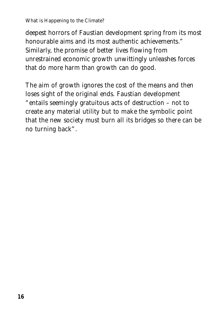### *What is Happening to the Climate?*

deepest horrors of Faustian development spring from its most honourable aims and its most authentic achievements." Similarly, the promise of better lives flowing from unrestrained economic growth unwittingly unleashes forces that do more harm than growth can do good.

The aim of growth ignores the cost of the means and then loses sight of the original ends. Faustian development "entails seemingly gratuitous acts of destruction – not to create any material utility but to make the symbolic point that the new society must burn all its bridges so there can be no turning back".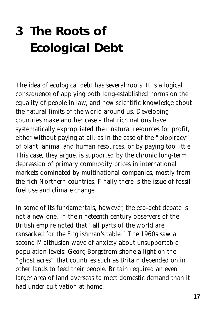## **3 The Roots of Ecological Debt**

The idea of ecological debt has several roots. It is a logical consequence of applying both long-established norms on the equality of people in law, and new scientific knowledge about the natural limits of the world around us. Developing countries make another case – that rich nations have systematically expropriated their natural resources for profit, either without paying at all, as in the case of the "biopiracy" of plant, animal and human resources, or by paying too little. This case, they argue, is supported by the chronic long-term depression of primary commodity prices in international markets dominated by multinational companies, mostly from the rich Northern countries. Finally there is the issue of fossil fuel use and climate change.

In some of its fundamentals, however, the eco-debt debate is not a new one. In the nineteenth century observers of the British empire noted that "all parts of the world are ransacked for the Englishman's table." The 1960s saw a second Malthusian wave of anxiety about unsupportable population levels: Georg Borgstrom shone a light on the "ghost acres" that countries such as Britain depended on in other lands to feed their people. Britain required an even larger area of land overseas to meet domestic demand than it had under cultivation at home.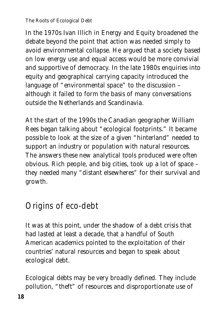### *The Roots of Ecological Debt*

In the 1970s Ivan Illich in *Energy and Equity* broadened the debate beyond the point that action was needed simply to avoid environmental collapse. He argued that a society based on low energy use and equal access would be more convivial and supportive of democracy. In the late 1980s enquiries into equity and geographical carrying capacity introduced the language of "environmental space" to the discussion – although it failed to form the basis of many conversations outside the Netherlands and Scandinavia.

At the start of the 1990s the Canadian geographer William Rees began talking about "ecological footprints." It became possible to look at the size of a given "hinterland" needed to support an industry or population with natural resources. The answers these new analytical tools produced were often obvious. Rich people, and big cities, took up a lot of space – they needed many "distant elsewheres" for their survival and growth.

### Origins of eco-debt

It was at this point, under the shadow of a debt crisis that had lasted at least a decade, that a handful of South American academics pointed to the exploitation of their countries' natural resources and began to speak about ecological debt.

Ecological debts may be very broadly defined. They include pollution, "theft" of resources and disproportionate use of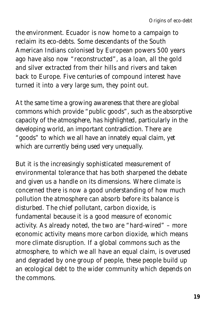the environment. Ecuador is now home to a campaign to reclaim its eco-debts. Some descendants of the South American Indians colonised by European powers 500 years ago have also now "reconstructed", as a loan, all the gold and silver extracted from their hills and rivers and taken back to Europe. Five centuries of compound interest have turned it into a very large sum, they point out.

At the same time a growing awareness that there are global commons which provide "public goods", such as the absorptive capacity of the atmosphere, has highlighted, particularly in the developing world, an important contradiction. There are "goods" to which we all have an innately equal claim, yet which are currently being used very unequally.

But it is the increasingly sophisticated measurement of environmental tolerance that has both sharpened the debate and given us a handle on its dimensions. Where climate is concerned there is now a good understanding of how much pollution the atmosphere can absorb before its balance is disturbed. The chief pollutant, carbon dioxide, is fundamental because it is a good measure of economic activity. As already noted, the two are "hard-wired" – more economic activity means more carbon dioxide, which means more climate disruption. If a global commons such as the atmosphere, to which we all have an equal claim, is overused and degraded by one group of people, these people build up an ecological debt to the wider community which depends on the commons.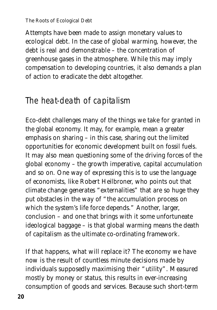### *The Roots of Ecological Debt*

Attempts have been made to assign monetary values to ecological debt. In the case of global warming, however, the debt is real and demonstrable – the concentration of greenhouse gases in the atmosphere. While this may imply compensation to developing countries, it also demands a plan of action to eradicate the debt altogether.

### The heat-death of capitalism

Eco-debt challenges many of the things we take for granted in the global economy. It may, for example, mean a greater emphasis on sharing – in this case, sharing out the limited opportunities for economic development built on fossil fuels. It may also mean questioning some of the driving forces of the global economy – the growth imperative, capital accumulation and so on. One way of expressing this is to use the language of economists, like Robert Heilbroner, who points out that climate change generates "externalities" that are so huge they put obstacles in the way of "the accumulation process on which the system's life force depends." Another, larger, conclusion – and one that brings with it some unfortuneate ideological baggage – is that global warming means the death of capitalism as the ultimate co-ordinating framework.

If that happens, what will replace it? The economy we have now is the result of countless minute decisions made by individuals supposedly maximising their "utility". Measured mostly by money or status, this results in ever-increasing consumption of goods and services. Because such short-term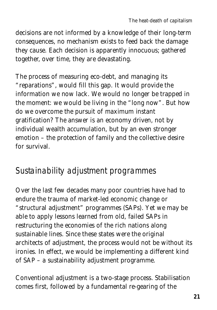decisions are not informed by a knowledge of their long-term consequences, no mechanism exists to feed back the damage they cause. Each decision is apparently innocuous; gathered together, over time, they are devastating.

The process of measuring eco-debt, and managing its "reparations", would fill this gap. It would provide the information we now lack. We would no longer be trapped in the moment: we would be living in the "long now". But how do we overcome the pursuit of maximum instant gratification? The answer is an economy driven, not by individual wealth accumulation, but by an even stronger emotion – the protection of family and the collective desire for survival.

### Sustainability adjustment programmes

Over the last few decades many poor countries have had to endure the trauma of market-led economic change or "structural adjustment" programmes (SAPs). Yet we may be able to apply lessons learned from old, failed SAPs in restructuring the economies of the rich nations along sustainable lines. Since these states were the original architects of adjustment, the process would not be without its ironies. In effect, we would be implementing a different kind of SAP – a sustainability adjustment programme.

Conventional adjustment is a two-stage process. Stabilisation comes first, followed by a fundamental re-gearing of the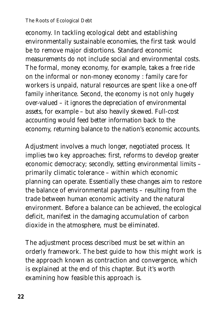#### *The Roots of Ecological Debt*

economy. In tackling ecological debt and establishing environmentally sustainable economies, the first task would be to remove major distortions. Standard economic measurements do not include social and environmental costs. The formal, money economy, for example, takes a free ride on the informal or non-money economy : family care for workers is unpaid, natural resources are spent like a one-off family inheritance. Second, the economy is not only hugely over-valued – it ignores the depreciation of environmental assets, for example – but also heavily skewed. Full-cost accounting would feed better information back to the economy, returning balance to the nation's economic accounts.

Adjustment involves a much longer, negotiated process. It implies two key approaches: first, reforms to develop greater economic democracy; secondly, setting environmental limits – primarily climatic tolerance – within which economic planning can operate. Essentially these changes aim to restore the balance of environmental payments – resulting from the trade between human economic activity and the natural environment. Before a balance can be achieved, the ecological deficit, manifest in the damaging accumulation of carbon dioxide in the atmosphere, must be eliminated.

The adjustment process described must be set within an orderly framework. The best guide to how this might work is the approach known as contraction and convergence, which is explained at the end of this chapter. But it's worth examining how feasible this approach is.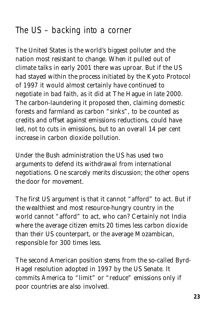## The US – backing into a corner

The United States is the world's biggest polluter and the nation most resistant to change. When it pulled out of climate talks in early 2001 there was uproar. But if the US had stayed within the process initiated by the Kyoto Protocol of 1997 it would almost certainly have continued to negotiate in bad faith, as it did at The Hague in late 2000. The carbon-laundering it proposed then, claiming domestic forests and farmland as carbon "sinks", to be counted as credits and offset against emissions reductions, could have led, not to cuts in emissions, but to an overall 14 per cent increase in carbon dioxide pollution.

Under the Bush administration the US has used two arguments to defend its withdrawal from international negotiations. One scarcely merits discussion; the other opens the door for movement.

The first US argument is that it cannot "afford" to act. But if the wealthiest and most resource-hungry country in the world cannot "afford" to act, who can? Certainly not India where the average citizen emits 20 times less carbon dioxide than their US counterpart, or the average Mozambican, responsible for 300 times less.

The second American position stems from the so-called Byrd-Hagel resolution adopted in 1997 by the US Senate. It commits America to "limit" or "reduce" emissions only if poor countries are also involved.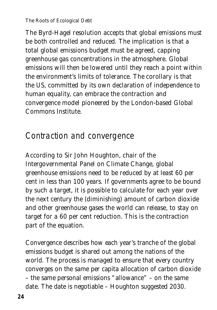*The Roots of Ecological Debt*

The Byrd-Hagel resolution accepts that global emissions must be both controlled and reduced. The implication is that a total global emissions budget must be agreed, capping greenhouse gas concentrations in the atmosphere. Global emissions will then be lowered until they reach a point within the environment's limits of tolerance. The corollary is that the US, committed by its own declaration of independence to human equality, can embrace the contraction and convergence model pioneered by the London-based Global Commons Institute.

## Contraction and convergence

According to Sir John Houghton, chair of the Intergovernmental Panel on Climate Change, global greenhouse emissions need to be reduced by at least 60 per cent in less than 100 years. If governments agree to be bound by such a target, it is possible to calculate for each year over the next century the (diminishing) amount of carbon dioxide and other greenhouse gases the world can release, to stay on target for a 60 per cent reduction. This is the contraction part of the equation.

Convergence describes how each year's tranche of the global emissions budget is shared out among the nations of the world. The process is managed to ensure that every country converges on the same *per capita* allocation of carbon dioxide – the same personal emissions "allowance" – on the same date. The date is negotiable – Houghton suggested 2030.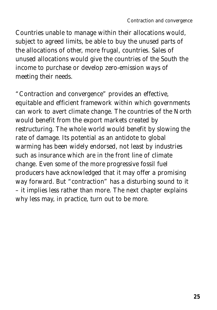Countries unable to manage within their allocations would, subject to agreed limits, be able to buy the unused parts of the allocations of other, more frugal, countries. Sales of unused allocations would give the countries of the South the income to purchase or develop zero-emission ways of meeting their needs.

"Contraction and convergence" provides an effective, equitable and efficient framework within which governments can work to avert climate change. The countries of the North would benefit from the export markets created by restructuring. The whole world would benefit by slowing the rate of damage. Its potential as an antidote to global warming has been widely endorsed, not least by industries such as insurance which are in the front line of climate change. Even some of the more progressive fossil fuel producers have acknowledged that it may offer a promising way forward. But "contraction" has a disturbing sound to it – it implies less rather than more. The next chapter explains why less may, in practice, turn out to be more.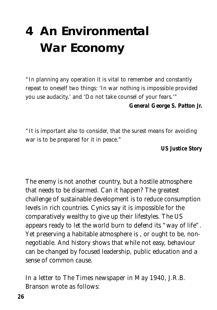## **4 An Environmental War Economy**

*"In planning any operation it is vital to remember and constantly repeat to oneself two things: 'In war nothing is impossible provided you use audacity,' and 'Do not take counsel of your fears.'" General George S. Patton Jr.* 

*"It is important also to consider, that the surest means for avoiding war is to be prepared for it in peace."* 

*US Justice Story*

The enemy is not another country, but a hostile atmosphere that needs to be disarmed. Can it happen? The greatest challenge of sustainable development is to reduce consumption levels in rich countries. Cynics say it is impossible for the comparatively wealthy to give up their lifestyles. The US appears ready to let the world burn to defend its "way of life". Yet preserving a habitable atmosphere is , or ought to be, nonnegotiable. And history shows that while not easy, behaviour can be changed by focused leadership, public education and a sense of common cause.

In a letter to *The Times* newspaper in May 1940, J.R.B. Branson wrote as follows: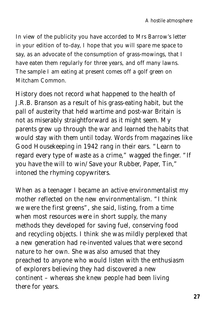*In view of the publicity you have accorded to Mrs Barrow's letter in your edition of to-day, I hope that you will spare me space to say, as an advocate of the consumption of grass-mowings, that I have eaten them regularly for three years, and off many lawns. The sample I am eating at present comes off a golf green on Mitcham Common.*

History does not record what happened to the health of J.R.B. Branson as a result of his grass-eating habit, but the pall of austerity that held wartime and post-war Britain is not as miserably straightforward as it might seem. My parents grew up through the war and learned the habits that would stay with them until today. Words from magazines like *Good Housekeeping* in 1942 rang in their ears. "Learn to regard every type of waste as a crime," wagged the finger. "If you have the will to win/ Save your Rubber, Paper, Tin," intoned the rhyming copywriters.

When as a teenager I became an active environmentalist my mother reflected on the new environmentalism. "I think we were the first greens", she said, listing, from a time when most resources were in short supply, the many methods they developed for saving fuel, conserving food and recycling objects. I think she was mildly perplexed that a new generation had re-invented values that were second nature to her own. She was also amused that they preached to anyone who would listen with the enthusiasm of explorers believing they had discovered a new continent – whereas she knew people had been living there for years.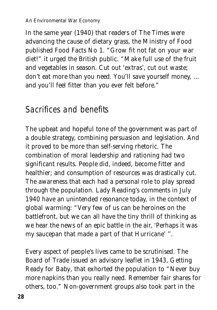In the same year (1940) that readers of *The Times* were advancing the cause of dietary grass, the Ministry of Food published *Food Facts No 1*. "Grow fit not fat on your war diet!" it urged the British public. "Make full use of the fruit and vegetables in season. Cut out 'extras', cut out waste; don't eat more than you need. You'll save yourself money, … and you'll feel fitter than you ever felt before."

### Sacrifices and benefits

The upbeat and hopeful tone of the government was part of a double strategy, combining persuasion and legislation. And it proved to be more than self-serving rhetoric. The combination of moral leadership and rationing had two significant results. People did, indeed, become fitter and healthier; and consumption of resources was drastically cut. The awareness that each had a personal role to play spread through the population. Lady Reading's comments in July 1940 have an unintended resonance today, in the context of global warming: "Very few of us can be heroines on the battlefront, but we can all have the tiny thrill of thinking as we hear the news of an epic battle in the air, 'Perhaps it was my saucepan that made a part of that Hurricane' ''.

Every aspect of people's lives came to be scrutinised. The Board of Trade issued an advisory leaflet in 1943, *Getting Ready for Baby*, that exhorted the population to "Never buy more napkins than you really need. Remember fair shares for others, too." Non-government groups also took part in the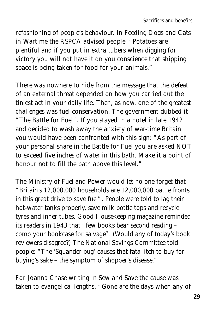refashioning of people's behaviour. In *Feeding Dogs and Cats in Wartime* the RSPCA advised people: "Potatoes are plentiful and if you put in extra tubers when digging for victory you will not have it on you conscience that shipping space is being taken for food for your animals."

There was nowhere to hide from the message that the defeat of an external threat depended on how you carried out the tiniest act in your daily life. Then, as now, one of the greatest challenges was fuel conservation. The government dubbed it "The Battle for Fuel". If you stayed in a hotel in late 1942 and decided to wash away the anxiety of war-time Britain you would have been confronted with this sign: "As part of your personal share in the Battle for Fuel you are asked NOT to exceed five inches of water in this bath. Make it a point of honour not to fill the bath above this level."

The Ministry of Fuel and Power would let no one forget that "Britain's 12,000,000 households are 12,000,000 battle fronts in this great drive to save fuel". People were told to lag their hot-water tanks properly, save milk bottle tops and recycle tyres and inner tubes. *Good Housekeeping* magazine reminded its readers in 1943 that "few books bear second reading – comb your bookcase for salvage". (Would any of today's book reviewers disagree?) The National Savings Committee told people: "The 'Squander-bug' causes that fatal itch to buy for buying's sake – the symptom of shopper's disease."

For Joanna Chase writing in *Sew and Save* the cause was taken to evangelical lengths. "Gone are the days when any of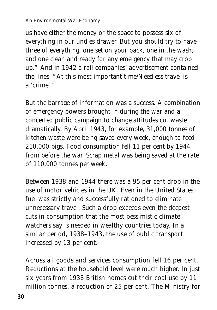#### *An Environmental War Economy*

us have either the money or the space to possess six of everything in our undies drawer. But you should try to have three of everything, one set on your back, one in the wash, and one clean and ready for any emergency that may crop up." And in 1942 a rail companies' advertisement contained the lines: "At this most important time/Needless travel is a 'crime'."

But the barrage of information was a success. A combination of emergency powers brought in during the war and a concerted public campaign to change attitudes cut waste dramatically. By April 1943, for example, 31,000 tonnes of kitchen waste were being saved every week, enough to feed 210,000 pigs. Food consumption fell 11 per cent by 1944 from before the war. Scrap metal was being saved at the rate of 110,000 tonnes per week.

Between 1938 and 1944 there was a 95 per cent drop in the use of motor vehicles in the UK. Even in the United States fuel was strictly and successfully rationed to eliminate unnecessary travel. Such a drop exceeds even the deepest cuts in consumption that the most pessimistic climate watchers say is needed in wealthy countries today. In a similar period, 1938–1943, the use of public transport increased by 13 per cent.

Across all goods and services consumption fell 16 per cent. Reductions at the household level were much higher. In just six years from 1938 British homes cut their coal use by 11 million tonnes, a reduction of 25 per cent. The Ministry for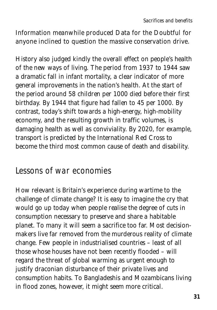Information meanwhile produced *Data for the Doubtful* for anyone inclined to question the massive conservation drive.

History also judged kindly the overall effect on people's health of the new ways of living. The period from 1937 to 1944 saw a dramatic fall in infant mortality, a clear indicator of more general improvements in the nation's health. At the start of the period around 58 children per 1000 died before their first birthday. By 1944 that figure had fallen to 45 per 1000. By contrast, today's shift towards a high-energy, high-mobility economy, and the resulting growth in traffic volumes, is damaging health as well as conviviality. By 2020, for example, transport is predicted by the International Red Cross to become the third most common cause of death and disability.

### Lessons of war economies

How relevant is Britain's experience during wartime to the challenge of climate change? It is easy to imagine the cry that would go up today when people realise the degree of cuts in consumption necessary to preserve and share a habitable planet. To many it will seem a sacrifice too far. Most decisionmakers live far removed from the murderous reality of climate change. Few people in industrialised countries – least of all those whose houses have *not* been recently flooded – will regard the threat of global warming as urgent enough to justify draconian disturbance of their private lives and consumption habits. To Bangladeshis and Mozambicans living in flood zones, however, it might seem more critical.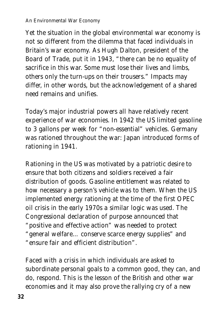### *An Environmental War Economy*

Yet the situation in the global environmental war economy is not so different from the dilemma that faced individuals in Britain's war economy. As Hugh Dalton, president of the Board of Trade, put it in 1943, "there can be no equality of sacrifice in this war. Some must lose their lives and limbs, others only the turn-ups on their trousers." Impacts may differ, in other words, but the acknowledgement of a shared need remains and unifies.

Today's major industrial powers all have relatively recent experience of war economies. In 1942 the US limited gasoline to 3 gallons per week for "non-essential" vehicles. Germany was rationed throughout the war: Japan introduced forms of rationing in 1941.

Rationing in the US was motivated by a patriotic desire to ensure that both citizens and soldiers received a fair distribution of goods. Gasoline entitlement was related to how necessary a person's vehicle was to them. When the US implemented energy rationing at the time of the first OPEC oil crisis in the early 1970s a similar logic was used. The Congressional declaration of purpose announced that "positive and effective action" was needed to protect "general welfare… conserve scarce energy supplies" and "ensure fair and efficient distribution".

Faced with a crisis in which individuals are asked to subordinate personal goals to a common good, they can, and do, respond. This is the lesson of the British and other war economies and it may also prove the rallying cry of a new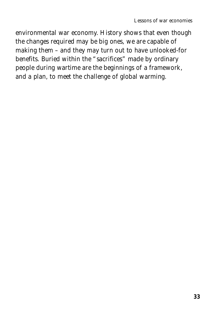environmental war economy. History shows that even though the changes required may be big ones, we are capable of making them – and they may turn out to have unlooked-for benefits. Buried within the "sacrifices" made by ordinary people during wartime are the beginnings of a framework, and a plan, to meet the challenge of global warming.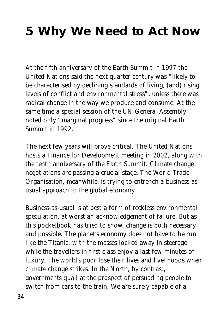## **5 Why We Need to Act Now**

At the fifth anniversary of the Earth Summit in 1997 the United Nations said the next quarter century was "likely to be characterised by declining standards of living, (and) rising levels of conflict and environmental stress", unless there was radical change in the way we produce and consume. At the same time a special session of the UN General Assembly noted only "marginal progress" since the original Earth Summit in 1992.

The next few years will prove critical. The United Nations hosts a Finance for Development meeting in 2002, along with the tenth anniversary of the Earth Summit. Climate change negotiations are passing a crucial stage. The World Trade Organisation, meanwhile, is trying to entrench a business-asusual approach to the global economy.

Business-as-usual is at best a form of reckless environmental speculation, at worst an acknowledgement of failure. But as this pocketbook has tried to show, change is both necessary and possible. The planet's economy does not have to be run like the Titanic, with the masses locked away in steerage while the travellers in first class enjoy a last few minutes of luxury. The world's poor lose their lives and livelihoods when climate change strikes. In the North, by contrast, governments quail at the prospect of persuading people to switch from cars to the train. We are surely capable of a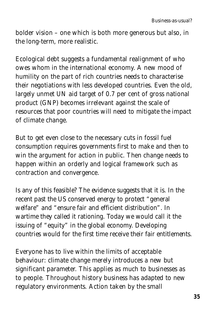bolder vision – one which is both more generous but also, in the long-term, more realistic.

Ecological debt suggests a fundamental realignment of who owes whom in the international economy. A new mood of humility on the part of rich countries needs to characterise their negotiations with less developed countries. Even the old, largely unmet UN aid target of 0.7 per cent of gross national product (GNP) becomes irrelevant against the scale of resources that poor countries will need to mitigate the impact of climate change.

But to get even close to the necessary cuts in fossil fuel consumption requires governments first to make and then to win the argument for action in public. Then change needs to happen within an orderly and logical framework such as contraction and convergence.

Is any of this feasible? The evidence suggests that it is. In the recent past the US conserved energy to protect "general welfare" and "ensure fair and efficient distribution". In wartime they called it rationing. Today we would call it the issuing of "equity" in the global economy. Developing countries would for the first time receive their fair entitlements.

Everyone has to live within the limits of acceptable behaviour: climate change merely introduces a new but significant parameter. This applies as much to businesses as to people. Throughout history business has adapted to new regulatory environments. Action taken by the small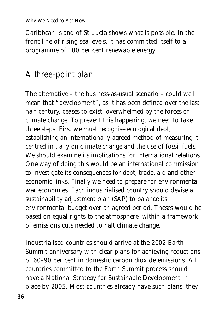*Why We Need to Act Now*

Caribbean island of St Lucia shows what is possible. In the front line of rising sea levels, it has committed itself to a programme of 100 per cent renewable energy.

## A three-point plan

The alternative – the business-as-usual scenario – could well mean that "development", as it has been defined over the last half-century, ceases to exist, overwhelmed by the forces of climate change. To prevent this happening, we need to take three steps. First we must recognise ecological debt, establishing an internationally agreed method of measuring it, centred initially on climate change and the use of fossil fuels. We should examine its implications for international relations. One way of doing this would be an international commission to investigate its consequences for debt, trade, aid and other economic links. Finally we need to prepare for environmental war economies. Each industrialised country should devise a sustainability adjustment plan (SAP) to balance its environmental budget over an agreed period. Theses would be based on equal rights to the atmosphere, within a framework of emissions cuts needed to halt climate change.

Industrialised countries should arrive at the 2002 Earth Summit anniversary with clear plans for achieving reductions of 60–90 per cent in domestic carbon dioxide emissions. All countries committed to the Earth Summit process should have a National Strategy for Sustainable Development in place by 2005. Most countries already have such plans: they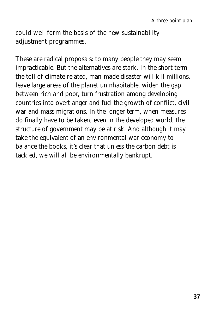could well form the basis of the new sustainability adjustment programmes.

These are radical proposals: to many people they may seem impracticable. But the alternatives are stark. In the short term the toll of climate-related, man-made disaster will kill millions, leave large areas of the planet uninhabitable, widen the gap between rich and poor, turn frustration among developing countries into overt anger and fuel the growth of conflict, civil war and mass migrations. In the longer term, when measures do finally have to be taken, even in the developed world, the structure of government may be at risk. And although it may take the equivalent of an environmental war economy to balance the books, it's clear that unless the carbon debt is tackled, we will all be environmentally bankrupt.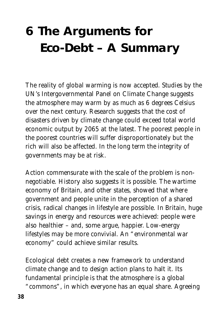## **6 The Arguments for Eco-Debt – A Summary**

The reality of global warming is now accepted. Studies by the UN's Intergovernmental Panel on Climate Change suggests the atmosphere may warm by as much as 6 degrees Celsius over the next century. Research suggests that the cost of disasters driven by climate change could exceed total world economic output by 2065 at the latest. The poorest people in the poorest countries will suffer disproportionately but the rich will also be affected. In the long term the integrity of governments may be at risk.

Action commensurate with the scale of the problem is nonnegotiable. History also suggests it is possible. The wartime economy of Britain, and other states, showed that where government and people unite in the perception of a shared crisis, radical changes in lifestyle are possible. In Britain, huge savings in energy and resources were achieved: people were also healthier – and, some argue, happier. Low-energy lifestyles may be more convivial. An "environmental war economy" could achieve similar results.

Ecological debt creates a new framework to understand climate change and to design action plans to halt it. Its fundamental principle is that the atmosphere is a global

"commons", in which everyone has an equal share. Agreeing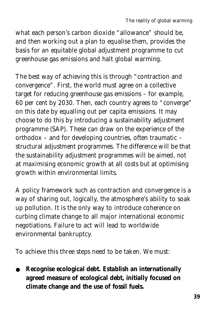what each person's carbon dioxide "allowance" should be, and then working out a plan to equalise them, provides the basis for an equitable global adjustment programme to cut greenhouse gas emissions and halt global warming.

The best way of achieving this is through "contraction and convergence". First, the world must agree on a collective target for reducing greenhouse gas emissions – for example, 60 per cent by 2030. Then, each country agrees to "converge" on this date by equalling out *per capita* emissions. It may choose to do this by introducing a *sustainability adjustment programme* (SAP). These can draw on the experience of the orthodox – and for developing countries, often traumatic – structural adjustment programmes. The difference will be that the sustainability adjustment programmes will be aimed, not at maximising economic growth at all costs but at optimising growth within environmental limits.

A policy framework such as contraction and convergence is a way of sharing out, logically, the atmosphere's ability to soak up pollution. It is the only way to introduce coherence on curbing climate change to all major international economic negotiations. Failure to act will lead to worldwide environmental bankruptcy.

To achieve this three steps need to be taken. We must:

● **Recognise ecological debt. Establish an internationally agreed measure of ecological debt, initially focused on climate change and the use of fossil fuels.**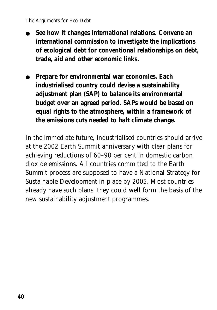- **See how it changes international relations. Convene an international commission to investigate the implications of ecological debt for conventional relationships on debt, trade, aid and other economic links.**
- **Prepare for environmental war economies. Each industrialised country could devise a sustainability adjustment plan (SAP) to balance its environmental budget over an agreed period. SAPs would be based on equal rights to the atmosphere, within a framework of the emissions cuts needed to halt climate change.**

In the immediate future, industrialised countries should arrive at the 2002 Earth Summit anniversary with clear plans for achieving reductions of 60–90 per cent in domestic carbon dioxide emissions. All countries committed to the Earth Summit process are supposed to have a National Strategy for Sustainable Development in place by 2005. Most countries already have such plans: they could well form the basis of the new sustainability adjustment programmes.